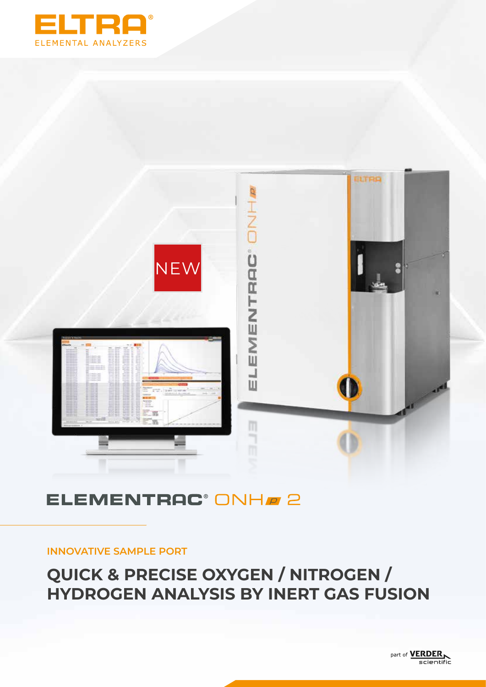



## **ELEMENTRAC® ONHA 2**

### **INNOVATIVE SAMPLE PORT**

## **QUICK & PRECISE OXYGEN / NITROGEN / HYDROGEN ANALYSIS BY INERT GAS FUSION**

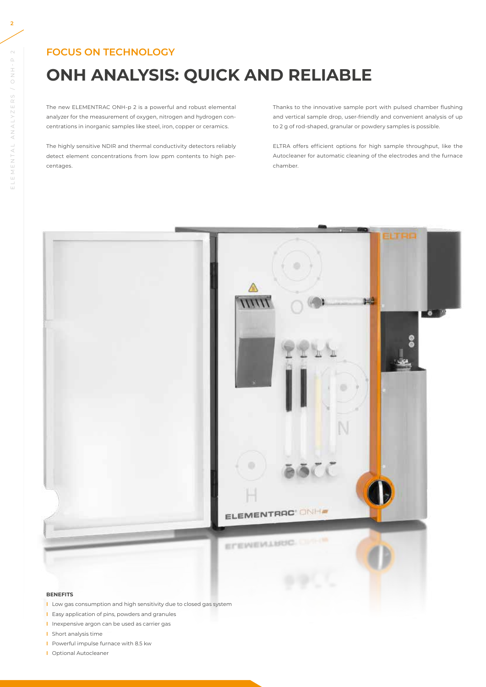### **FOCUS ON TECHNOLOGY**

# **ONH ANALYSIS: QUICK AND RELIABLE**

The new ELEMENTRAC ONH-p 2 is a powerful and robust elemental analyzer for the measurement of oxygen, nitrogen and hydrogen concentrations in inorganic samples like steel, iron, copper or ceramics.

The highly sensitive NDIR and thermal conductivity detectors reliably detect element concentrations from low ppm contents to high percentages.

Thanks to the innovative sample port with pulsed chamber flushing and vertical sample drop, user-friendly and convenient analysis of up to 2 g of rod-shaped, granular or powdery samples is possible.

ELTRA offers efficient options for high sample throughput, like the Autocleaner for automatic cleaning of the electrodes and the furnace chamber.



#### **BENEFITS**

- **I** Low gas consumption and high sensitivity due to closed gas system
- **I** Easy application of pins, powders and granules
- **I** Inexpensive argon can be used as carrier gas
- **I** Short analysis time
- **I** Powerful impulse furnace with 8.5 kw
- **I** Optional Autocleaner

 $\mathord{\sim}$ 

 $\begin{array}{c}\n\Box \\
\bot \\
\bot \\
\bot\n\end{array}$ 

ELEMENTAL ANALYZERS / ONH-P 2

ELEMENTAL ANALYZERS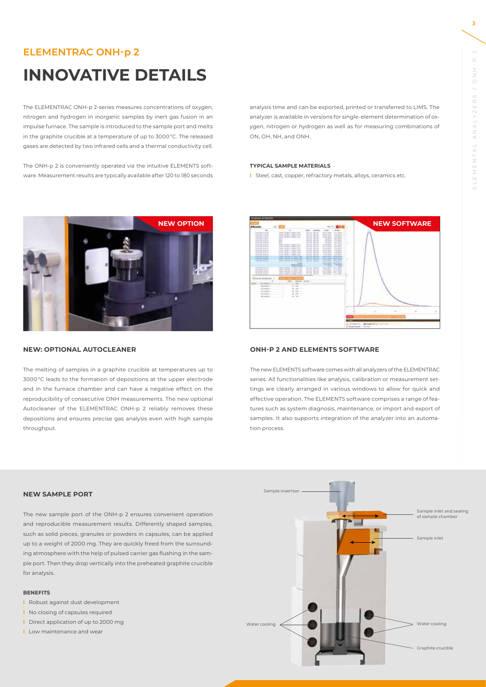### **ELEMENTRAC ONH-p 2**

## **INNOVATIVE DETAILS**

The ELEMENTRAC ONH-p 2-series measures concentrations of oxygen, nitrogen and hydrogen in inorganic samples by inert gas fusion in an impulse furnace. The sample is introduced to the sample port and melts in the graphite crucible at a temperature of up to 3000 °C. The released gases are detected by two infrared cells and a thermal conductivity cell.

The ONH-p 2 is conveniently operated via the intuitive ELEMENTS software. Measurement results are typically available after 120 to 180 seconds



#### **NEW: OPTIONAL AUTOCLEANER**

The melting of samples in a graphite crucible at temperatures up to 3000 °C leads to the formation of depositions at the upper electrode and in the furnace chamber and can have a negative effect on the reproducibility of consecutive ONH measurements. The new optional Autocleaner of the ELEMENTRAC ONH-p 2 reliably removes these depositions and ensures precise gas analysis even with high sample throughput.

analysis time and can be exported, printed or transferred to LIMS. The analyzer is available in versions for single-element determination of oxygen, nitrogen or hydrogen as well as for measuring combinations of ON, OH, NH, and ONH.

#### **TYPICAL SAMPLE MATERIALS**

**I** Steel, cast, copper, refractory metals, alloys, ceramics etc.



#### **ONH-P 2 AND ELEMENTS SOFTWARE**

The new ELEMENTS software comes with all analyzers of the ELEMENTRAC series. All functionalities like analysis, calibration or measurement settings are clearly arranged in various windows to allow for quick and effective operation. The ELEMENTS software comprises a range of features such as system diagnosis, maintenance, or import and export of samples. It also supports integration of the analyzer into an automation process.

#### **NEW SAMPLE PORT**

The new sample port of the ONH-p 2 ensures convenient operation and reproducible measurement results. Differently shaped samples, such as solid pieces, granules or powders in capsules, can be applied up to a weight of 2000 mg. They are quickly freed from the surrounding atmosphere with the help of pulsed carrier gas flushing in the sample port. Then they drop vertically into the preheated graphite crucible for analysis.

#### **BENEFITS**

- **I** Robust against dust development
- **I** No closing of capsules required
- **I** Direct application of up to 2000 mg
- **I** Low maintenance and wear